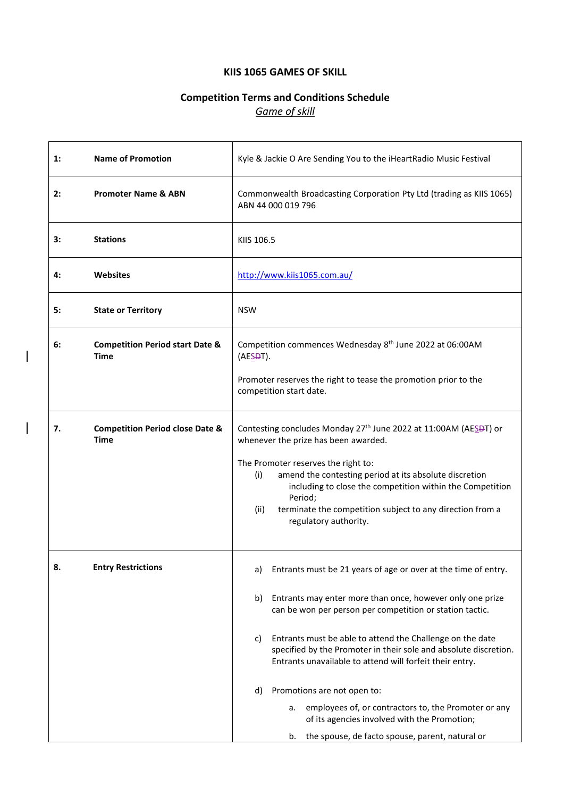# **KIIS 1065 GAMES OF SKILL**

# **Competition Terms and Conditions Schedule** *Game of skill*

| $\mathbf{1}$ : | <b>Name of Promotion</b>                                  | Kyle & Jackie O Are Sending You to the iHeartRadio Music Festival                                                                                                                                                                                                          |  |  |
|----------------|-----------------------------------------------------------|----------------------------------------------------------------------------------------------------------------------------------------------------------------------------------------------------------------------------------------------------------------------------|--|--|
| 2:             | <b>Promoter Name &amp; ABN</b>                            | Commonwealth Broadcasting Corporation Pty Ltd (trading as KIIS 1065)<br>ABN 44 000 019 796                                                                                                                                                                                 |  |  |
| 3:             | <b>Stations</b>                                           | KIIS 106.5                                                                                                                                                                                                                                                                 |  |  |
| 4:             | <b>Websites</b>                                           | http://www.kiis1065.com.au/                                                                                                                                                                                                                                                |  |  |
| 5:             | <b>State or Territory</b>                                 | <b>NSW</b>                                                                                                                                                                                                                                                                 |  |  |
| 6:             | <b>Competition Period start Date &amp;</b><br>Time        | Competition commences Wednesday 8 <sup>th</sup> June 2022 at 06:00AM<br>(AE <sub>5</sub> DT).                                                                                                                                                                              |  |  |
|                |                                                           | Promoter reserves the right to tease the promotion prior to the<br>competition start date.                                                                                                                                                                                 |  |  |
| 7.             | <b>Competition Period close Date &amp;</b><br><b>Time</b> | Contesting concludes Monday 27 <sup>th</sup> June 2022 at 11:00AM (AESPT) or<br>whenever the prize has been awarded.                                                                                                                                                       |  |  |
|                |                                                           | The Promoter reserves the right to:<br>(i)<br>amend the contesting period at its absolute discretion<br>including to close the competition within the Competition<br>Period;<br>terminate the competition subject to any direction from a<br>(ii)<br>regulatory authority. |  |  |
| Զ              | <b>Entry Restrictions</b>                                 | a) Entrants must be 21 years of age or over at the time of entry.                                                                                                                                                                                                          |  |  |
|                |                                                           | Entrants may enter more than once, however only one prize<br>b)<br>can be won per person per competition or station tactic.                                                                                                                                                |  |  |
|                |                                                           | Entrants must be able to attend the Challenge on the date<br>C)<br>specified by the Promoter in their sole and absolute discretion.<br>Entrants unavailable to attend will forfeit their entry.                                                                            |  |  |
|                |                                                           | Promotions are not open to:<br>d)                                                                                                                                                                                                                                          |  |  |
|                |                                                           | employees of, or contractors to, the Promoter or any<br>а.<br>of its agencies involved with the Promotion;<br>the spouse, de facto spouse, parent, natural or<br>b.                                                                                                        |  |  |

 $\overline{\phantom{a}}$ 

 $\begin{array}{c} \hline \end{array}$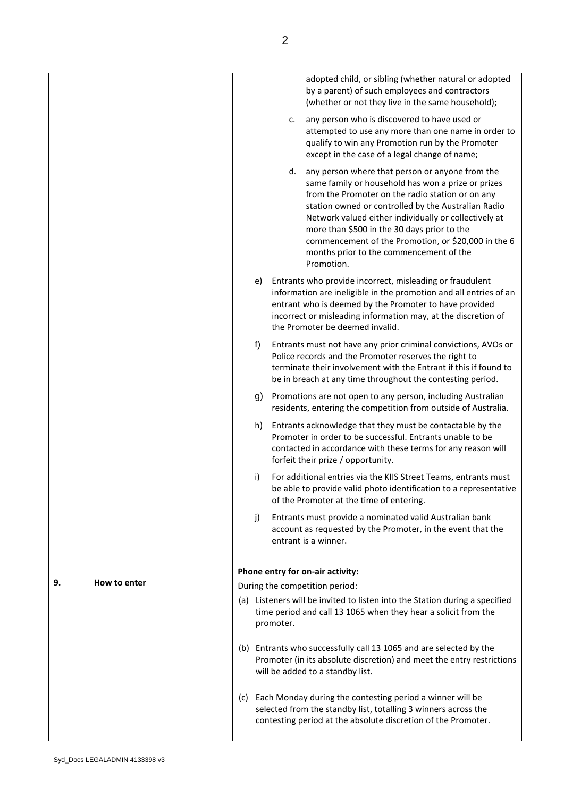|                    |     |           | adopted child, or sibling (whether natural or adopted<br>by a parent) of such employees and contractors<br>(whether or not they live in the same household);                                                                                                                                                                                                                                                                             |
|--------------------|-----|-----------|------------------------------------------------------------------------------------------------------------------------------------------------------------------------------------------------------------------------------------------------------------------------------------------------------------------------------------------------------------------------------------------------------------------------------------------|
|                    |     | c.        | any person who is discovered to have used or<br>attempted to use any more than one name in order to<br>qualify to win any Promotion run by the Promoter<br>except in the case of a legal change of name;                                                                                                                                                                                                                                 |
|                    |     | d.        | any person where that person or anyone from the<br>same family or household has won a prize or prizes<br>from the Promoter on the radio station or on any<br>station owned or controlled by the Australian Radio<br>Network valued either individually or collectively at<br>more than \$500 in the 30 days prior to the<br>commencement of the Promotion, or \$20,000 in the 6<br>months prior to the commencement of the<br>Promotion. |
|                    | e)  |           | Entrants who provide incorrect, misleading or fraudulent<br>information are ineligible in the promotion and all entries of an<br>entrant who is deemed by the Promoter to have provided<br>incorrect or misleading information may, at the discretion of<br>the Promoter be deemed invalid.                                                                                                                                              |
|                    | f)  |           | Entrants must not have any prior criminal convictions, AVOs or<br>Police records and the Promoter reserves the right to<br>terminate their involvement with the Entrant if this if found to<br>be in breach at any time throughout the contesting period.                                                                                                                                                                                |
|                    | g)  |           | Promotions are not open to any person, including Australian<br>residents, entering the competition from outside of Australia.                                                                                                                                                                                                                                                                                                            |
|                    | h)  |           | Entrants acknowledge that they must be contactable by the<br>Promoter in order to be successful. Entrants unable to be<br>contacted in accordance with these terms for any reason will<br>forfeit their prize / opportunity.                                                                                                                                                                                                             |
|                    | i)  |           | For additional entries via the KIIS Street Teams, entrants must<br>be able to provide valid photo identification to a representative<br>of the Promoter at the time of entering.                                                                                                                                                                                                                                                         |
|                    | j)  |           | Entrants must provide a nominated valid Australian bank<br>account as requested by the Promoter, in the event that the<br>entrant is a winner.                                                                                                                                                                                                                                                                                           |
|                    |     |           | Phone entry for on-air activity:                                                                                                                                                                                                                                                                                                                                                                                                         |
| How to enter<br>9. |     |           | During the competition period:                                                                                                                                                                                                                                                                                                                                                                                                           |
|                    |     | promoter. | (a) Listeners will be invited to listen into the Station during a specified<br>time period and call 13 1065 when they hear a solicit from the                                                                                                                                                                                                                                                                                            |
|                    |     |           | (b) Entrants who successfully call 13 1065 and are selected by the<br>Promoter (in its absolute discretion) and meet the entry restrictions<br>will be added to a standby list.                                                                                                                                                                                                                                                          |
|                    | (C) |           | Each Monday during the contesting period a winner will be<br>selected from the standby list, totalling 3 winners across the<br>contesting period at the absolute discretion of the Promoter.                                                                                                                                                                                                                                             |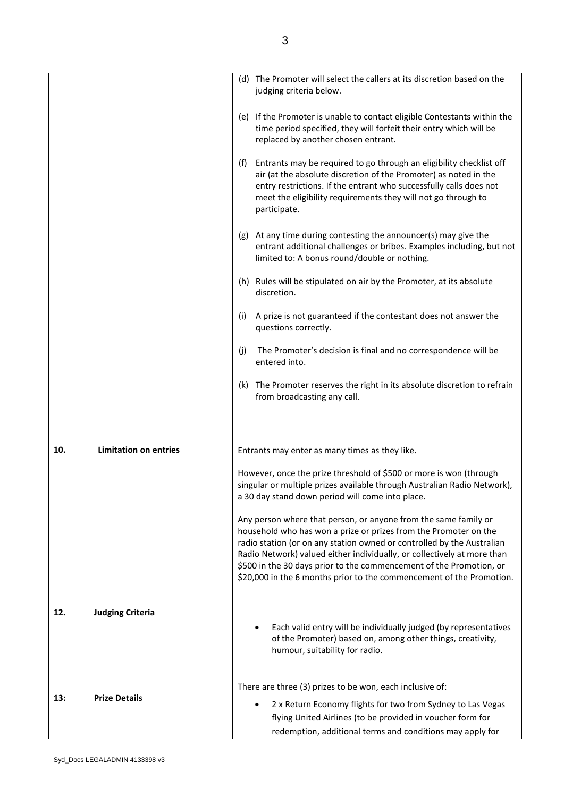|     |                              | (d) The Promoter will select the callers at its discretion based on the<br>judging criteria below.                                                                                                                                                                                                                                                                                                                                      |
|-----|------------------------------|-----------------------------------------------------------------------------------------------------------------------------------------------------------------------------------------------------------------------------------------------------------------------------------------------------------------------------------------------------------------------------------------------------------------------------------------|
|     |                              | (e) If the Promoter is unable to contact eligible Contestants within the<br>time period specified, they will forfeit their entry which will be<br>replaced by another chosen entrant.                                                                                                                                                                                                                                                   |
|     |                              | Entrants may be required to go through an eligibility checklist off<br>(f)<br>air (at the absolute discretion of the Promoter) as noted in the<br>entry restrictions. If the entrant who successfully calls does not<br>meet the eligibility requirements they will not go through to<br>participate.                                                                                                                                   |
|     |                              | (g) At any time during contesting the announcer(s) may give the<br>entrant additional challenges or bribes. Examples including, but not<br>limited to: A bonus round/double or nothing.                                                                                                                                                                                                                                                 |
|     |                              | (h) Rules will be stipulated on air by the Promoter, at its absolute<br>discretion.                                                                                                                                                                                                                                                                                                                                                     |
|     |                              | A prize is not guaranteed if the contestant does not answer the<br>(i)<br>questions correctly.                                                                                                                                                                                                                                                                                                                                          |
|     |                              | The Promoter's decision is final and no correspondence will be<br>(j)<br>entered into.                                                                                                                                                                                                                                                                                                                                                  |
|     |                              | (k) The Promoter reserves the right in its absolute discretion to refrain<br>from broadcasting any call.                                                                                                                                                                                                                                                                                                                                |
| 10. | <b>Limitation on entries</b> | Entrants may enter as many times as they like.                                                                                                                                                                                                                                                                                                                                                                                          |
|     |                              | However, once the prize threshold of \$500 or more is won (through<br>singular or multiple prizes available through Australian Radio Network),<br>a 30 day stand down period will come into place.                                                                                                                                                                                                                                      |
|     |                              | Any person where that person, or anyone from the same family or<br>household who has won a prize or prizes from the Promoter on the<br>radio station (or on any station owned or controlled by the Australian<br>Radio Network) valued either individually, or collectively at more than<br>\$500 in the 30 days prior to the commencement of the Promotion, or<br>\$20,000 in the 6 months prior to the commencement of the Promotion. |
| 12. | <b>Judging Criteria</b>      | Each valid entry will be individually judged (by representatives<br>of the Promoter) based on, among other things, creativity,<br>humour, suitability for radio.                                                                                                                                                                                                                                                                        |
|     |                              | There are three (3) prizes to be won, each inclusive of:                                                                                                                                                                                                                                                                                                                                                                                |
| 13: | <b>Prize Details</b>         | 2 x Return Economy flights for two from Sydney to Las Vegas<br>flying United Airlines (to be provided in voucher form for<br>redemption, additional terms and conditions may apply for                                                                                                                                                                                                                                                  |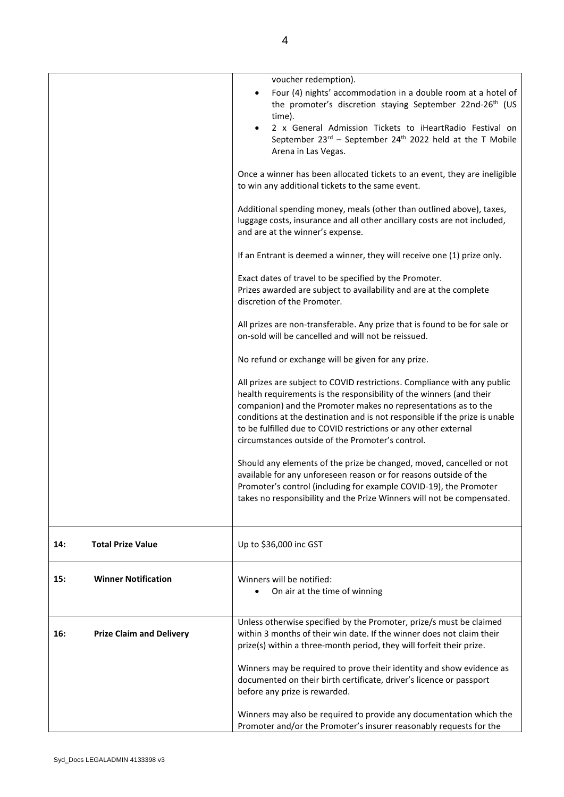|     |                                 | voucher redemption).                                                                                                                                                                                                                                                                                                                                                                                                    |
|-----|---------------------------------|-------------------------------------------------------------------------------------------------------------------------------------------------------------------------------------------------------------------------------------------------------------------------------------------------------------------------------------------------------------------------------------------------------------------------|
|     |                                 | Four (4) nights' accommodation in a double room at a hotel of<br>the promoter's discretion staying September 22nd-26 <sup>th</sup> (US<br>time).<br>2 x General Admission Tickets to iHeartRadio Festival on<br>September $23^{rd}$ – September $24^{th}$ 2022 held at the T Mobile                                                                                                                                     |
|     |                                 | Arena in Las Vegas.                                                                                                                                                                                                                                                                                                                                                                                                     |
|     |                                 | Once a winner has been allocated tickets to an event, they are ineligible<br>to win any additional tickets to the same event.                                                                                                                                                                                                                                                                                           |
|     |                                 | Additional spending money, meals (other than outlined above), taxes,<br>luggage costs, insurance and all other ancillary costs are not included,<br>and are at the winner's expense.                                                                                                                                                                                                                                    |
|     |                                 | If an Entrant is deemed a winner, they will receive one (1) prize only.                                                                                                                                                                                                                                                                                                                                                 |
|     |                                 | Exact dates of travel to be specified by the Promoter.<br>Prizes awarded are subject to availability and are at the complete<br>discretion of the Promoter.                                                                                                                                                                                                                                                             |
|     |                                 | All prizes are non-transferable. Any prize that is found to be for sale or<br>on-sold will be cancelled and will not be reissued.                                                                                                                                                                                                                                                                                       |
|     |                                 | No refund or exchange will be given for any prize.                                                                                                                                                                                                                                                                                                                                                                      |
|     |                                 | All prizes are subject to COVID restrictions. Compliance with any public<br>health requirements is the responsibility of the winners (and their<br>companion) and the Promoter makes no representations as to the<br>conditions at the destination and is not responsible if the prize is unable<br>to be fulfilled due to COVID restrictions or any other external<br>circumstances outside of the Promoter's control. |
|     |                                 | Should any elements of the prize be changed, moved, cancelled or not<br>available for any unforeseen reason or for reasons outside of the<br>Promoter's control (including for example COVID-19), the Promoter<br>takes no responsibility and the Prize Winners will not be compensated.                                                                                                                                |
| 14: | <b>Total Prize Value</b>        | Up to \$36,000 inc GST                                                                                                                                                                                                                                                                                                                                                                                                  |
| 15: | <b>Winner Notification</b>      | Winners will be notified:<br>On air at the time of winning                                                                                                                                                                                                                                                                                                                                                              |
| 16: | <b>Prize Claim and Delivery</b> | Unless otherwise specified by the Promoter, prize/s must be claimed<br>within 3 months of their win date. If the winner does not claim their<br>prize(s) within a three-month period, they will forfeit their prize.                                                                                                                                                                                                    |
|     |                                 | Winners may be required to prove their identity and show evidence as<br>documented on their birth certificate, driver's licence or passport<br>before any prize is rewarded.                                                                                                                                                                                                                                            |
|     |                                 | Winners may also be required to provide any documentation which the<br>Promoter and/or the Promoter's insurer reasonably requests for the                                                                                                                                                                                                                                                                               |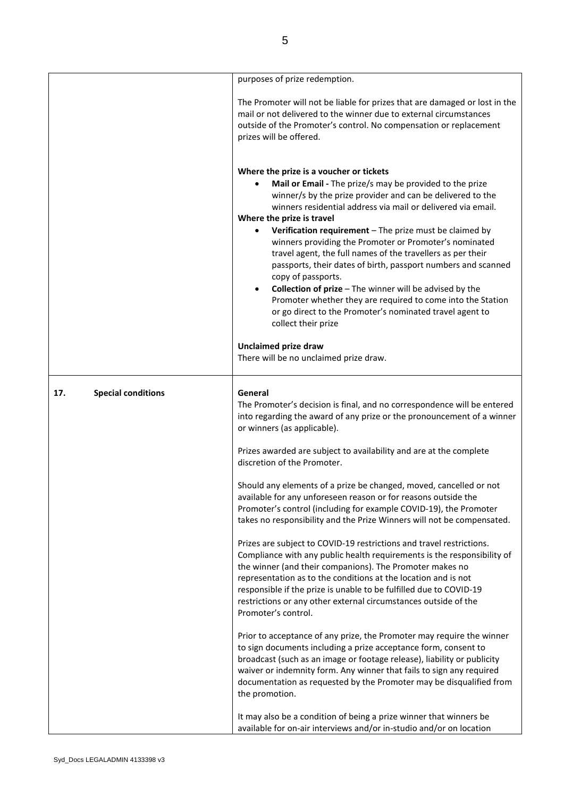|                                  | purposes of prize redemption.                                                                                                                                                                                                                                                                                                                                                                                                                                                                                                                                                                                                                                                                                                                          |
|----------------------------------|--------------------------------------------------------------------------------------------------------------------------------------------------------------------------------------------------------------------------------------------------------------------------------------------------------------------------------------------------------------------------------------------------------------------------------------------------------------------------------------------------------------------------------------------------------------------------------------------------------------------------------------------------------------------------------------------------------------------------------------------------------|
|                                  | The Promoter will not be liable for prizes that are damaged or lost in the<br>mail or not delivered to the winner due to external circumstances<br>outside of the Promoter's control. No compensation or replacement<br>prizes will be offered.                                                                                                                                                                                                                                                                                                                                                                                                                                                                                                        |
|                                  | Where the prize is a voucher or tickets<br>Mail or Email - The prize/s may be provided to the prize<br>winner/s by the prize provider and can be delivered to the<br>winners residential address via mail or delivered via email.<br>Where the prize is travel<br>Verification requirement - The prize must be claimed by<br>winners providing the Promoter or Promoter's nominated<br>travel agent, the full names of the travellers as per their<br>passports, their dates of birth, passport numbers and scanned<br>copy of passports.<br>Collection of prize - The winner will be advised by the<br>Promoter whether they are required to come into the Station<br>or go direct to the Promoter's nominated travel agent to<br>collect their prize |
|                                  | <b>Unclaimed prize draw</b><br>There will be no unclaimed prize draw.                                                                                                                                                                                                                                                                                                                                                                                                                                                                                                                                                                                                                                                                                  |
| <b>Special conditions</b><br>17. | General<br>The Promoter's decision is final, and no correspondence will be entered<br>into regarding the award of any prize or the pronouncement of a winner<br>or winners (as applicable).                                                                                                                                                                                                                                                                                                                                                                                                                                                                                                                                                            |
|                                  | Prizes awarded are subject to availability and are at the complete<br>discretion of the Promoter.                                                                                                                                                                                                                                                                                                                                                                                                                                                                                                                                                                                                                                                      |
|                                  | Should any elements of a prize be changed, moved, cancelled or not<br>available for any unforeseen reason or for reasons outside the<br>Promoter's control (including for example COVID-19), the Promoter<br>takes no responsibility and the Prize Winners will not be compensated.                                                                                                                                                                                                                                                                                                                                                                                                                                                                    |
|                                  | Prizes are subject to COVID-19 restrictions and travel restrictions.<br>Compliance with any public health requirements is the responsibility of<br>the winner (and their companions). The Promoter makes no<br>representation as to the conditions at the location and is not<br>responsible if the prize is unable to be fulfilled due to COVID-19<br>restrictions or any other external circumstances outside of the<br>Promoter's control.                                                                                                                                                                                                                                                                                                          |
|                                  | Prior to acceptance of any prize, the Promoter may require the winner<br>to sign documents including a prize acceptance form, consent to<br>broadcast (such as an image or footage release), liability or publicity<br>waiver or indemnity form. Any winner that fails to sign any required<br>documentation as requested by the Promoter may be disqualified from<br>the promotion.                                                                                                                                                                                                                                                                                                                                                                   |
|                                  | It may also be a condition of being a prize winner that winners be<br>available for on-air interviews and/or in-studio and/or on location                                                                                                                                                                                                                                                                                                                                                                                                                                                                                                                                                                                                              |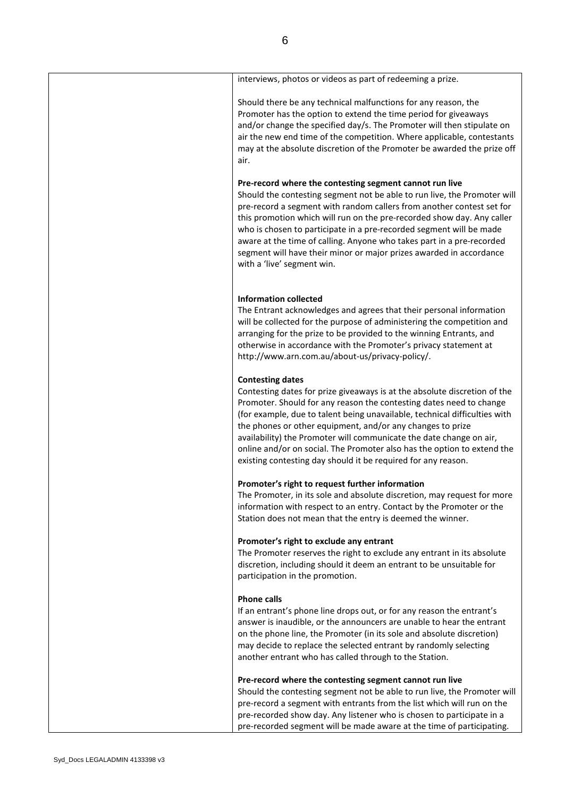| interviews, photos or videos as part of redeeming a prize.                                                                                                                                                                                                                                                                                                                                                                                                                                                                                  |
|---------------------------------------------------------------------------------------------------------------------------------------------------------------------------------------------------------------------------------------------------------------------------------------------------------------------------------------------------------------------------------------------------------------------------------------------------------------------------------------------------------------------------------------------|
| Should there be any technical malfunctions for any reason, the<br>Promoter has the option to extend the time period for giveaways<br>and/or change the specified day/s. The Promoter will then stipulate on<br>air the new end time of the competition. Where applicable, contestants<br>may at the absolute discretion of the Promoter be awarded the prize off<br>air.                                                                                                                                                                    |
| Pre-record where the contesting segment cannot run live<br>Should the contesting segment not be able to run live, the Promoter will<br>pre-record a segment with random callers from another contest set for<br>this promotion which will run on the pre-recorded show day. Any caller<br>who is chosen to participate in a pre-recorded segment will be made<br>aware at the time of calling. Anyone who takes part in a pre-recorded<br>segment will have their minor or major prizes awarded in accordance<br>with a 'live' segment win. |
| <b>Information collected</b><br>The Entrant acknowledges and agrees that their personal information<br>will be collected for the purpose of administering the competition and<br>arranging for the prize to be provided to the winning Entrants, and<br>otherwise in accordance with the Promoter's privacy statement at<br>http://www.arn.com.au/about-us/privacy-policy/.                                                                                                                                                                 |
| <b>Contesting dates</b><br>Contesting dates for prize giveaways is at the absolute discretion of the<br>Promoter. Should for any reason the contesting dates need to change<br>(for example, due to talent being unavailable, technical difficulties with<br>the phones or other equipment, and/or any changes to prize<br>availability) the Promoter will communicate the date change on air,<br>online and/or on social. The Promoter also has the option to extend the<br>existing contesting day should it be required for any reason.  |
| Promoter's right to request further information<br>The Promoter, in its sole and absolute discretion, may request for more<br>information with respect to an entry. Contact by the Promoter or the<br>Station does not mean that the entry is deemed the winner.                                                                                                                                                                                                                                                                            |
| Promoter's right to exclude any entrant<br>The Promoter reserves the right to exclude any entrant in its absolute<br>discretion, including should it deem an entrant to be unsuitable for<br>participation in the promotion.                                                                                                                                                                                                                                                                                                                |
| <b>Phone calls</b><br>If an entrant's phone line drops out, or for any reason the entrant's<br>answer is inaudible, or the announcers are unable to hear the entrant<br>on the phone line, the Promoter (in its sole and absolute discretion)<br>may decide to replace the selected entrant by randomly selecting<br>another entrant who has called through to the Station.                                                                                                                                                                 |
| Pre-record where the contesting segment cannot run live<br>Should the contesting segment not be able to run live, the Promoter will<br>pre-record a segment with entrants from the list which will run on the<br>pre-recorded show day. Any listener who is chosen to participate in a<br>pre-recorded segment will be made aware at the time of participating.                                                                                                                                                                             |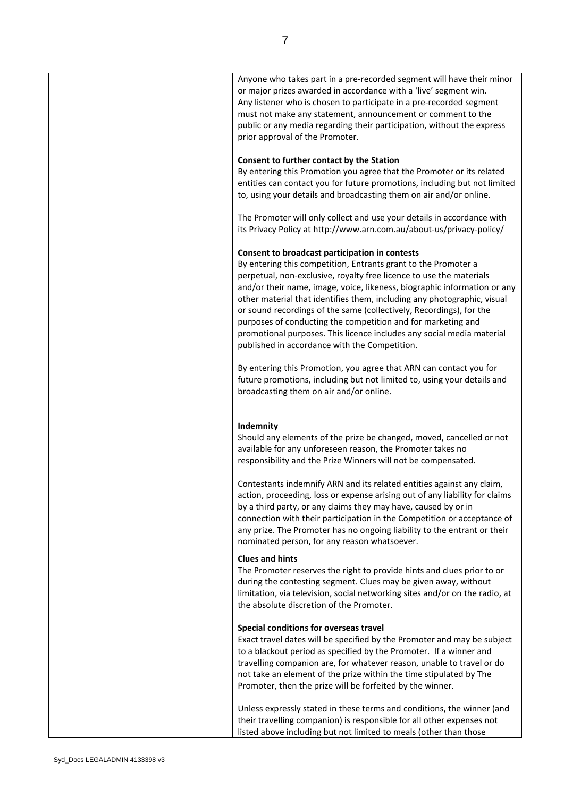| Anyone who takes part in a pre-recorded segment will have their minor<br>or major prizes awarded in accordance with a 'live' segment win.<br>Any listener who is chosen to participate in a pre-recorded segment<br>must not make any statement, announcement or comment to the<br>public or any media regarding their participation, without the express<br>prior approval of the Promoter.                                                                                                                                                                                                                    |
|-----------------------------------------------------------------------------------------------------------------------------------------------------------------------------------------------------------------------------------------------------------------------------------------------------------------------------------------------------------------------------------------------------------------------------------------------------------------------------------------------------------------------------------------------------------------------------------------------------------------|
| Consent to further contact by the Station<br>By entering this Promotion you agree that the Promoter or its related<br>entities can contact you for future promotions, including but not limited<br>to, using your details and broadcasting them on air and/or online.                                                                                                                                                                                                                                                                                                                                           |
| The Promoter will only collect and use your details in accordance with<br>its Privacy Policy at http://www.arn.com.au/about-us/privacy-policy/                                                                                                                                                                                                                                                                                                                                                                                                                                                                  |
| Consent to broadcast participation in contests<br>By entering this competition, Entrants grant to the Promoter a<br>perpetual, non-exclusive, royalty free licence to use the materials<br>and/or their name, image, voice, likeness, biographic information or any<br>other material that identifies them, including any photographic, visual<br>or sound recordings of the same (collectively, Recordings), for the<br>purposes of conducting the competition and for marketing and<br>promotional purposes. This licence includes any social media material<br>published in accordance with the Competition. |
| By entering this Promotion, you agree that ARN can contact you for<br>future promotions, including but not limited to, using your details and<br>broadcasting them on air and/or online.                                                                                                                                                                                                                                                                                                                                                                                                                        |
| Indemnity<br>Should any elements of the prize be changed, moved, cancelled or not<br>available for any unforeseen reason, the Promoter takes no<br>responsibility and the Prize Winners will not be compensated.                                                                                                                                                                                                                                                                                                                                                                                                |
| Contestants indemnify ARN and its related entities against any claim,<br>action, proceeding, loss or expense arising out of any liability for claims<br>by a third party, or any claims they may have, caused by or in<br>connection with their participation in the Competition or acceptance of<br>any prize. The Promoter has no ongoing liability to the entrant or their<br>nominated person, for any reason whatsoever.                                                                                                                                                                                   |
| <b>Clues and hints</b><br>The Promoter reserves the right to provide hints and clues prior to or<br>during the contesting segment. Clues may be given away, without<br>limitation, via television, social networking sites and/or on the radio, at<br>the absolute discretion of the Promoter.                                                                                                                                                                                                                                                                                                                  |
| Special conditions for overseas travel<br>Exact travel dates will be specified by the Promoter and may be subject<br>to a blackout period as specified by the Promoter. If a winner and<br>travelling companion are, for whatever reason, unable to travel or do<br>not take an element of the prize within the time stipulated by The<br>Promoter, then the prize will be forfeited by the winner.                                                                                                                                                                                                             |
| Unless expressly stated in these terms and conditions, the winner (and<br>their travelling companion) is responsible for all other expenses not<br>listed above including but not limited to meals (other than those                                                                                                                                                                                                                                                                                                                                                                                            |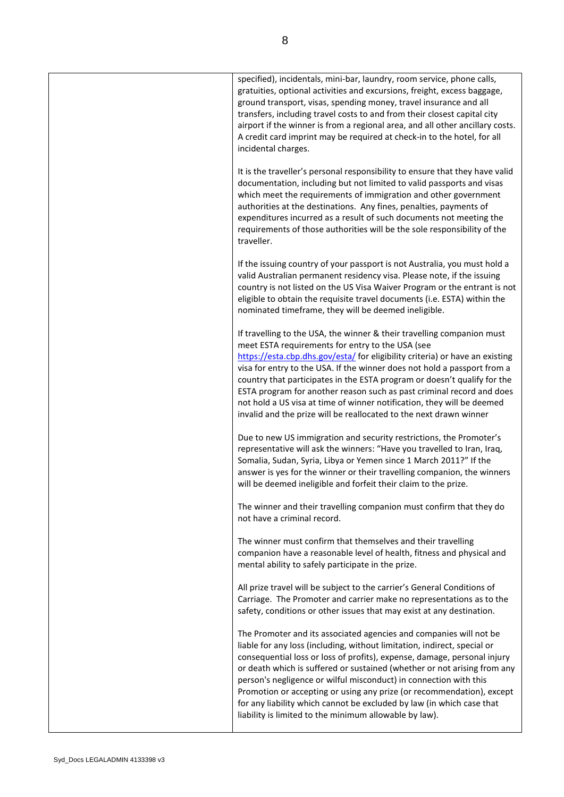| specified), incidentals, mini-bar, laundry, room service, phone calls,<br>gratuities, optional activities and excursions, freight, excess baggage,<br>ground transport, visas, spending money, travel insurance and all<br>transfers, including travel costs to and from their closest capital city<br>airport if the winner is from a regional area, and all other ancillary costs.<br>A credit card imprint may be required at check-in to the hotel, for all<br>incidental charges.                                                                                                      |
|---------------------------------------------------------------------------------------------------------------------------------------------------------------------------------------------------------------------------------------------------------------------------------------------------------------------------------------------------------------------------------------------------------------------------------------------------------------------------------------------------------------------------------------------------------------------------------------------|
| It is the traveller's personal responsibility to ensure that they have valid<br>documentation, including but not limited to valid passports and visas<br>which meet the requirements of immigration and other government<br>authorities at the destinations. Any fines, penalties, payments of<br>expenditures incurred as a result of such documents not meeting the<br>requirements of those authorities will be the sole responsibility of the<br>traveller.                                                                                                                             |
| If the issuing country of your passport is not Australia, you must hold a<br>valid Australian permanent residency visa. Please note, if the issuing<br>country is not listed on the US Visa Waiver Program or the entrant is not<br>eligible to obtain the requisite travel documents (i.e. ESTA) within the<br>nominated timeframe, they will be deemed ineligible.                                                                                                                                                                                                                        |
| If travelling to the USA, the winner & their travelling companion must<br>meet ESTA requirements for entry to the USA (see<br>https://esta.cbp.dhs.gov/esta/ for eligibility criteria) or have an existing<br>visa for entry to the USA. If the winner does not hold a passport from a<br>country that participates in the ESTA program or doesn't qualify for the<br>ESTA program for another reason such as past criminal record and does<br>not hold a US visa at time of winner notification, they will be deemed<br>invalid and the prize will be reallocated to the next drawn winner |
| Due to new US immigration and security restrictions, the Promoter's<br>representative will ask the winners: "Have you travelled to Iran, Iraq,<br>Somalia, Sudan, Syria, Libya or Yemen since 1 March 2011?" If the<br>answer is yes for the winner or their travelling companion, the winners<br>will be deemed ineligible and forfeit their claim to the prize.                                                                                                                                                                                                                           |
| The winner and their travelling companion must confirm that they do<br>not have a criminal record.                                                                                                                                                                                                                                                                                                                                                                                                                                                                                          |
| The winner must confirm that themselves and their travelling<br>companion have a reasonable level of health, fitness and physical and<br>mental ability to safely participate in the prize.                                                                                                                                                                                                                                                                                                                                                                                                 |
| All prize travel will be subject to the carrier's General Conditions of<br>Carriage. The Promoter and carrier make no representations as to the<br>safety, conditions or other issues that may exist at any destination.                                                                                                                                                                                                                                                                                                                                                                    |
| The Promoter and its associated agencies and companies will not be<br>liable for any loss (including, without limitation, indirect, special or<br>consequential loss or loss of profits), expense, damage, personal injury<br>or death which is suffered or sustained (whether or not arising from any<br>person's negligence or wilful misconduct) in connection with this<br>Promotion or accepting or using any prize (or recommendation), except<br>for any liability which cannot be excluded by law (in which case that<br>liability is limited to the minimum allowable by law).     |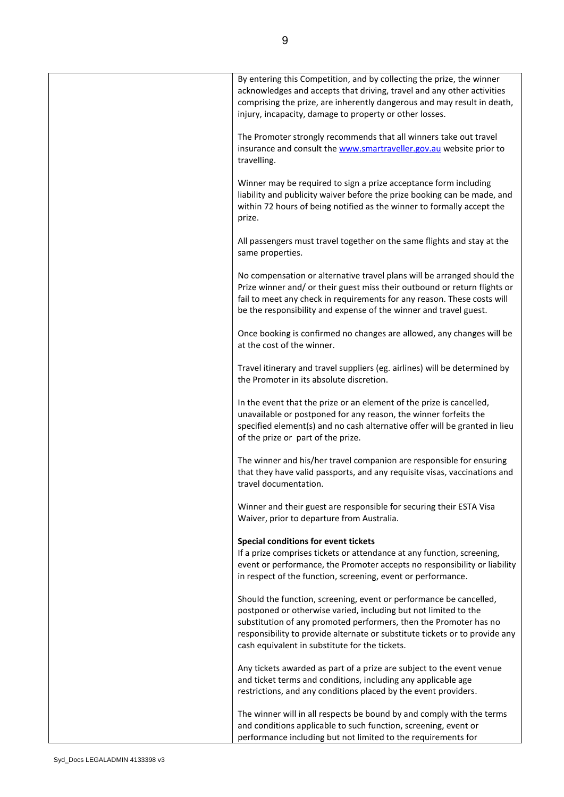| By entering this Competition, and by collecting the prize, the winner<br>acknowledges and accepts that driving, travel and any other activities<br>comprising the prize, are inherently dangerous and may result in death,<br>injury, incapacity, damage to property or other losses.                                                       |
|---------------------------------------------------------------------------------------------------------------------------------------------------------------------------------------------------------------------------------------------------------------------------------------------------------------------------------------------|
| The Promoter strongly recommends that all winners take out travel<br>insurance and consult the www.smartraveller.gov.au website prior to<br>travelling.                                                                                                                                                                                     |
| Winner may be required to sign a prize acceptance form including<br>liability and publicity waiver before the prize booking can be made, and<br>within 72 hours of being notified as the winner to formally accept the<br>prize.                                                                                                            |
| All passengers must travel together on the same flights and stay at the<br>same properties.                                                                                                                                                                                                                                                 |
| No compensation or alternative travel plans will be arranged should the<br>Prize winner and/ or their guest miss their outbound or return flights or<br>fail to meet any check in requirements for any reason. These costs will<br>be the responsibility and expense of the winner and travel guest.                                        |
| Once booking is confirmed no changes are allowed, any changes will be<br>at the cost of the winner.                                                                                                                                                                                                                                         |
| Travel itinerary and travel suppliers (eg. airlines) will be determined by<br>the Promoter in its absolute discretion.                                                                                                                                                                                                                      |
| In the event that the prize or an element of the prize is cancelled,<br>unavailable or postponed for any reason, the winner forfeits the<br>specified element(s) and no cash alternative offer will be granted in lieu<br>of the prize or part of the prize.                                                                                |
| The winner and his/her travel companion are responsible for ensuring<br>that they have valid passports, and any requisite visas, vaccinations and<br>travel documentation.                                                                                                                                                                  |
| Winner and their guest are responsible for securing their ESTA Visa<br>Waiver, prior to departure from Australia.                                                                                                                                                                                                                           |
| Special conditions for event tickets                                                                                                                                                                                                                                                                                                        |
| If a prize comprises tickets or attendance at any function, screening,<br>event or performance, the Promoter accepts no responsibility or liability<br>in respect of the function, screening, event or performance.                                                                                                                         |
| Should the function, screening, event or performance be cancelled,<br>postponed or otherwise varied, including but not limited to the<br>substitution of any promoted performers, then the Promoter has no<br>responsibility to provide alternate or substitute tickets or to provide any<br>cash equivalent in substitute for the tickets. |
| Any tickets awarded as part of a prize are subject to the event venue<br>and ticket terms and conditions, including any applicable age<br>restrictions, and any conditions placed by the event providers.                                                                                                                                   |
| The winner will in all respects be bound by and comply with the terms<br>and conditions applicable to such function, screening, event or<br>performance including but not limited to the requirements for                                                                                                                                   |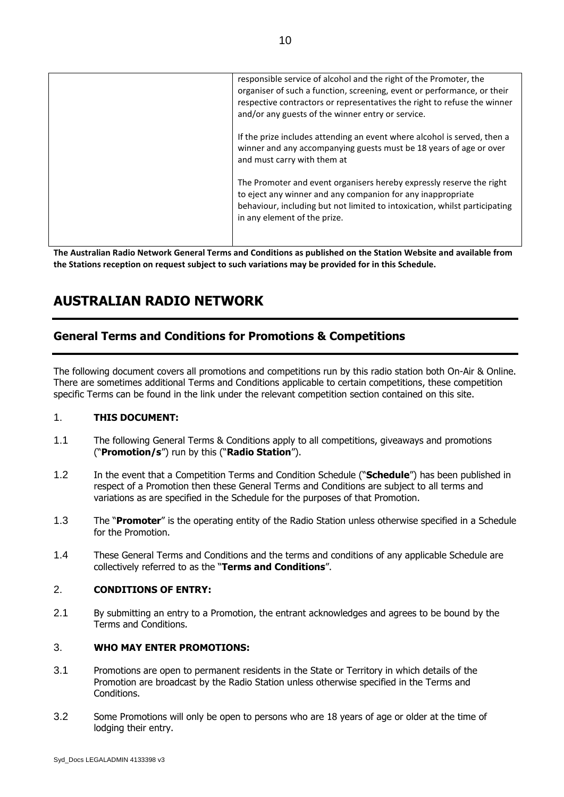| responsible service of alcohol and the right of the Promoter, the<br>organiser of such a function, screening, event or performance, or their<br>respective contractors or representatives the right to refuse the winner<br>and/or any guests of the winner entry or service. |
|-------------------------------------------------------------------------------------------------------------------------------------------------------------------------------------------------------------------------------------------------------------------------------|
| If the prize includes attending an event where alcohol is served, then a<br>winner and any accompanying guests must be 18 years of age or over<br>and must carry with them at                                                                                                 |
| The Promoter and event organisers hereby expressly reserve the right<br>to eject any winner and any companion for any inappropriate<br>behaviour, including but not limited to intoxication, whilst participating<br>in any element of the prize.                             |

**The Australian Radio Network General Terms and Conditions as published on the Station Website and available from the Stations reception on request subject to such variations may be provided for in this Schedule.**

# **AUSTRALIAN RADIO NETWORK**

# **General Terms and Conditions for Promotions & Competitions**

The following document covers all promotions and competitions run by this radio station both On-Air & Online. There are sometimes additional Terms and Conditions applicable to certain competitions, these competition specific Terms can be found in the link under the relevant competition section contained on this site.

#### 1. **THIS DOCUMENT:**

- 1.1 The following General Terms & Conditions apply to all competitions, giveaways and promotions ("**Promotion/s**") run by this ("**Radio Station**").
- 1.2 In the event that a Competition Terms and Condition Schedule ("**Schedule**") has been published in respect of a Promotion then these General Terms and Conditions are subject to all terms and variations as are specified in the Schedule for the purposes of that Promotion.
- 1.3 The "**Promoter**" is the operating entity of the Radio Station unless otherwise specified in a Schedule for the Promotion.
- 1.4 These General Terms and Conditions and the terms and conditions of any applicable Schedule are collectively referred to as the "**Terms and Conditions**".

#### 2. **CONDITIONS OF ENTRY:**

2.1 By submitting an entry to a Promotion, the entrant acknowledges and agrees to be bound by the Terms and Conditions.

## 3. **WHO MAY ENTER PROMOTIONS:**

- 3.1 Promotions are open to permanent residents in the State or Territory in which details of the Promotion are broadcast by the Radio Station unless otherwise specified in the Terms and Conditions.
- 3.2 Some Promotions will only be open to persons who are 18 years of age or older at the time of lodging their entry.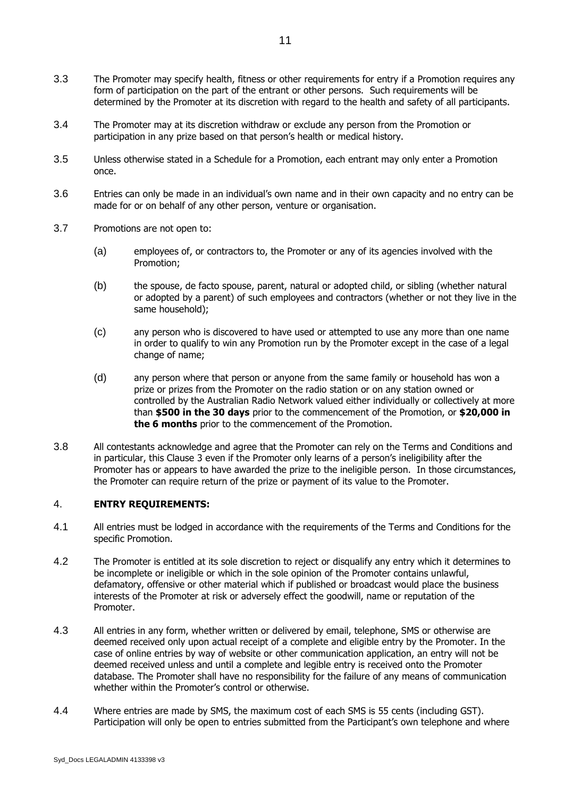- 3.3 The Promoter may specify health, fitness or other requirements for entry if a Promotion requires any form of participation on the part of the entrant or other persons. Such requirements will be determined by the Promoter at its discretion with regard to the health and safety of all participants.
- 3.4 The Promoter may at its discretion withdraw or exclude any person from the Promotion or participation in any prize based on that person's health or medical history.
- 3.5 Unless otherwise stated in a Schedule for a Promotion, each entrant may only enter a Promotion once.
- 3.6 Entries can only be made in an individual's own name and in their own capacity and no entry can be made for or on behalf of any other person, venture or organisation.
- 3.7 Promotions are not open to:
	- (a) employees of, or contractors to, the Promoter or any of its agencies involved with the Promotion;
	- (b) the spouse, de facto spouse, parent, natural or adopted child, or sibling (whether natural or adopted by a parent) of such employees and contractors (whether or not they live in the same household);
	- (c) any person who is discovered to have used or attempted to use any more than one name in order to qualify to win any Promotion run by the Promoter except in the case of a legal change of name;
	- (d) any person where that person or anyone from the same family or household has won a prize or prizes from the Promoter on the radio station or on any station owned or controlled by the Australian Radio Network valued either individually or collectively at more than **\$500 in the 30 days** prior to the commencement of the Promotion, or **\$20,000 in the 6 months** prior to the commencement of the Promotion.
- 3.8 All contestants acknowledge and agree that the Promoter can rely on the Terms and Conditions and in particular, this Clause 3 even if the Promoter only learns of a person's ineligibility after the Promoter has or appears to have awarded the prize to the ineligible person. In those circumstances, the Promoter can require return of the prize or payment of its value to the Promoter.

# 4. **ENTRY REQUIREMENTS:**

- 4.1 All entries must be lodged in accordance with the requirements of the Terms and Conditions for the specific Promotion.
- 4.2 The Promoter is entitled at its sole discretion to reject or disqualify any entry which it determines to be incomplete or ineligible or which in the sole opinion of the Promoter contains unlawful, defamatory, offensive or other material which if published or broadcast would place the business interests of the Promoter at risk or adversely effect the goodwill, name or reputation of the Promoter.
- 4.3 All entries in any form, whether written or delivered by email, telephone, SMS or otherwise are deemed received only upon actual receipt of a complete and eligible entry by the Promoter. In the case of online entries by way of website or other communication application, an entry will not be deemed received unless and until a complete and legible entry is received onto the Promoter database. The Promoter shall have no responsibility for the failure of any means of communication whether within the Promoter's control or otherwise.
- 4.4 Where entries are made by SMS, the maximum cost of each SMS is 55 cents (including GST). Participation will only be open to entries submitted from the Participant's own telephone and where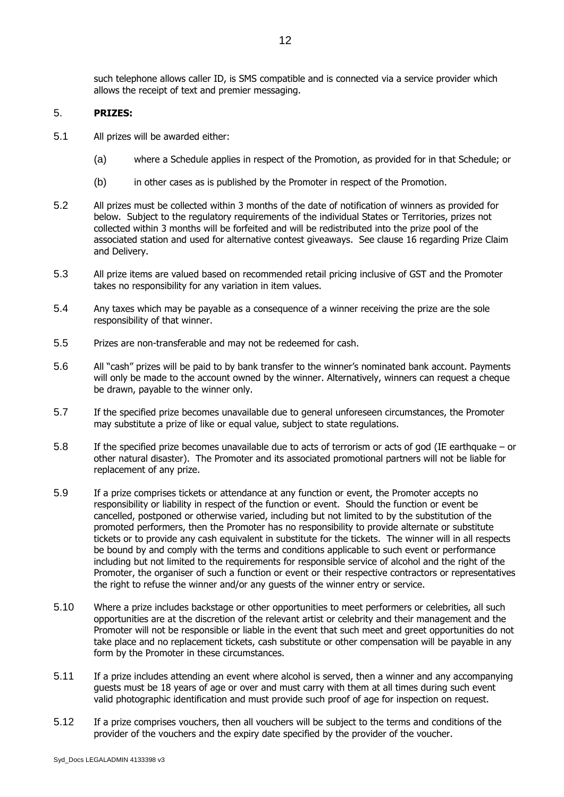12

such telephone allows caller ID, is SMS compatible and is connected via a service provider which allows the receipt of text and premier messaging.

#### 5. **PRIZES:**

- 5.1 All prizes will be awarded either:
	- (a) where a Schedule applies in respect of the Promotion, as provided for in that Schedule; or
	- (b) in other cases as is published by the Promoter in respect of the Promotion.
- 5.2 All prizes must be collected within 3 months of the date of notification of winners as provided for below. Subject to the regulatory requirements of the individual States or Territories, prizes not collected within 3 months will be forfeited and will be redistributed into the prize pool of the associated station and used for alternative contest giveaways. See clause 16 regarding Prize Claim and Delivery.
- 5.3 All prize items are valued based on recommended retail pricing inclusive of GST and the Promoter takes no responsibility for any variation in item values.
- 5.4 Any taxes which may be payable as a consequence of a winner receiving the prize are the sole responsibility of that winner.
- 5.5 Prizes are non-transferable and may not be redeemed for cash.
- 5.6 All "cash" prizes will be paid to by bank transfer to the winner's nominated bank account. Payments will only be made to the account owned by the winner. Alternatively, winners can request a cheque be drawn, payable to the winner only.
- 5.7 If the specified prize becomes unavailable due to general unforeseen circumstances, the Promoter may substitute a prize of like or equal value, subject to state regulations.
- 5.8 If the specified prize becomes unavailable due to acts of terrorism or acts of god (IE earthquake or other natural disaster). The Promoter and its associated promotional partners will not be liable for replacement of any prize.
- 5.9 If a prize comprises tickets or attendance at any function or event, the Promoter accepts no responsibility or liability in respect of the function or event. Should the function or event be cancelled, postponed or otherwise varied, including but not limited to by the substitution of the promoted performers, then the Promoter has no responsibility to provide alternate or substitute tickets or to provide any cash equivalent in substitute for the tickets. The winner will in all respects be bound by and comply with the terms and conditions applicable to such event or performance including but not limited to the requirements for responsible service of alcohol and the right of the Promoter, the organiser of such a function or event or their respective contractors or representatives the right to refuse the winner and/or any guests of the winner entry or service.
- 5.10 Where a prize includes backstage or other opportunities to meet performers or celebrities, all such opportunities are at the discretion of the relevant artist or celebrity and their management and the Promoter will not be responsible or liable in the event that such meet and greet opportunities do not take place and no replacement tickets, cash substitute or other compensation will be payable in any form by the Promoter in these circumstances.
- 5.11 If a prize includes attending an event where alcohol is served, then a winner and any accompanying guests must be 18 years of age or over and must carry with them at all times during such event valid photographic identification and must provide such proof of age for inspection on request.
- 5.12 If a prize comprises vouchers, then all vouchers will be subject to the terms and conditions of the provider of the vouchers and the expiry date specified by the provider of the voucher.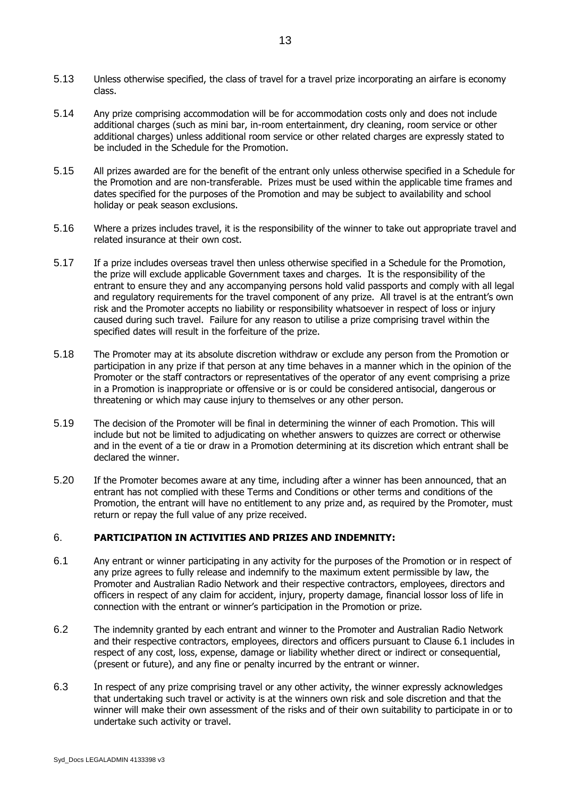- 5.13 Unless otherwise specified, the class of travel for a travel prize incorporating an airfare is economy class.
- 5.14 Any prize comprising accommodation will be for accommodation costs only and does not include additional charges (such as mini bar, in-room entertainment, dry cleaning, room service or other additional charges) unless additional room service or other related charges are expressly stated to be included in the Schedule for the Promotion.
- 5.15 All prizes awarded are for the benefit of the entrant only unless otherwise specified in a Schedule for the Promotion and are non-transferable. Prizes must be used within the applicable time frames and dates specified for the purposes of the Promotion and may be subject to availability and school holiday or peak season exclusions.
- 5.16 Where a prizes includes travel, it is the responsibility of the winner to take out appropriate travel and related insurance at their own cost.
- 5.17 If a prize includes overseas travel then unless otherwise specified in a Schedule for the Promotion, the prize will exclude applicable Government taxes and charges. It is the responsibility of the entrant to ensure they and any accompanying persons hold valid passports and comply with all legal and regulatory requirements for the travel component of any prize. All travel is at the entrant's own risk and the Promoter accepts no liability or responsibility whatsoever in respect of loss or injury caused during such travel. Failure for any reason to utilise a prize comprising travel within the specified dates will result in the forfeiture of the prize.
- 5.18 The Promoter may at its absolute discretion withdraw or exclude any person from the Promotion or participation in any prize if that person at any time behaves in a manner which in the opinion of the Promoter or the staff contractors or representatives of the operator of any event comprising a prize in a Promotion is inappropriate or offensive or is or could be considered antisocial, dangerous or threatening or which may cause injury to themselves or any other person.
- 5.19 The decision of the Promoter will be final in determining the winner of each Promotion. This will include but not be limited to adjudicating on whether answers to quizzes are correct or otherwise and in the event of a tie or draw in a Promotion determining at its discretion which entrant shall be declared the winner.
- 5.20 If the Promoter becomes aware at any time, including after a winner has been announced, that an entrant has not complied with these Terms and Conditions or other terms and conditions of the Promotion, the entrant will have no entitlement to any prize and, as required by the Promoter, must return or repay the full value of any prize received.

#### 6. **PARTICIPATION IN ACTIVITIES AND PRIZES AND INDEMNITY:**

- <span id="page-12-0"></span>6.1 Any entrant or winner participating in any activity for the purposes of the Promotion or in respect of any prize agrees to fully release and indemnify to the maximum extent permissible by law, the Promoter and Australian Radio Network and their respective contractors, employees, directors and officers in respect of any claim for accident, injury, property damage, financial lossor loss of life in connection with the entrant or winner's participation in the Promotion or prize.
- 6.2 The indemnity granted by each entrant and winner to the Promoter and Australian Radio Network and their respective contractors, employees, directors and officers pursuant to Clause 6.1 includes in respect of any cost, loss, expense, damage or liability whether direct or indirect or consequential, (present or future), and any fine or penalty incurred by the entrant or winner.
- 6.3 In respect of any prize comprising travel or any other activity, the winner expressly acknowledges that undertaking such travel or activity is at the winners own risk and sole discretion and that the winner will make their own assessment of the risks and of their own suitability to participate in or to undertake such activity or travel.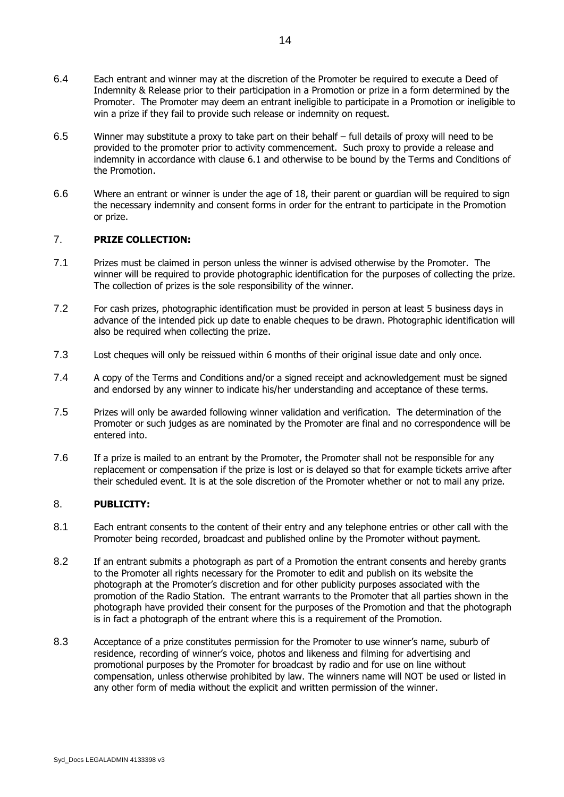- 6.4 Each entrant and winner may at the discretion of the Promoter be required to execute a Deed of Indemnity & Release prior to their participation in a Promotion or prize in a form determined by the Promoter. The Promoter may deem an entrant ineligible to participate in a Promotion or ineligible to win a prize if they fail to provide such release or indemnity on request.
- 6.5 Winner may substitute a proxy to take part on their behalf full details of proxy will need to be provided to the promoter prior to activity commencement. Such proxy to provide a release and indemnity in accordance with clause [6.1](#page-12-0) and otherwise to be bound by the Terms and Conditions of the Promotion.
- 6.6 Where an entrant or winner is under the age of 18, their parent or guardian will be required to sign the necessary indemnity and consent forms in order for the entrant to participate in the Promotion or prize.

## 7. **PRIZE COLLECTION:**

- 7.1 Prizes must be claimed in person unless the winner is advised otherwise by the Promoter. The winner will be required to provide photographic identification for the purposes of collecting the prize. The collection of prizes is the sole responsibility of the winner.
- 7.2 For cash prizes, photographic identification must be provided in person at least 5 business days in advance of the intended pick up date to enable cheques to be drawn. Photographic identification will also be required when collecting the prize.
- 7.3 Lost cheques will only be reissued within 6 months of their original issue date and only once.
- 7.4 A copy of the Terms and Conditions and/or a signed receipt and acknowledgement must be signed and endorsed by any winner to indicate his/her understanding and acceptance of these terms.
- 7.5 Prizes will only be awarded following winner validation and verification. The determination of the Promoter or such judges as are nominated by the Promoter are final and no correspondence will be entered into.
- 7.6 If a prize is mailed to an entrant by the Promoter, the Promoter shall not be responsible for any replacement or compensation if the prize is lost or is delayed so that for example tickets arrive after their scheduled event. It is at the sole discretion of the Promoter whether or not to mail any prize.

# 8. **PUBLICITY:**

- 8.1 Each entrant consents to the content of their entry and any telephone entries or other call with the Promoter being recorded, broadcast and published online by the Promoter without payment.
- 8.2 If an entrant submits a photograph as part of a Promotion the entrant consents and hereby grants to the Promoter all rights necessary for the Promoter to edit and publish on its website the photograph at the Promoter's discretion and for other publicity purposes associated with the promotion of the Radio Station. The entrant warrants to the Promoter that all parties shown in the photograph have provided their consent for the purposes of the Promotion and that the photograph is in fact a photograph of the entrant where this is a requirement of the Promotion.
- 8.3 Acceptance of a prize constitutes permission for the Promoter to use winner's name, suburb of residence, recording of winner's voice, photos and likeness and filming for advertising and promotional purposes by the Promoter for broadcast by radio and for use on line without compensation, unless otherwise prohibited by law. The winners name will NOT be used or listed in any other form of media without the explicit and written permission of the winner.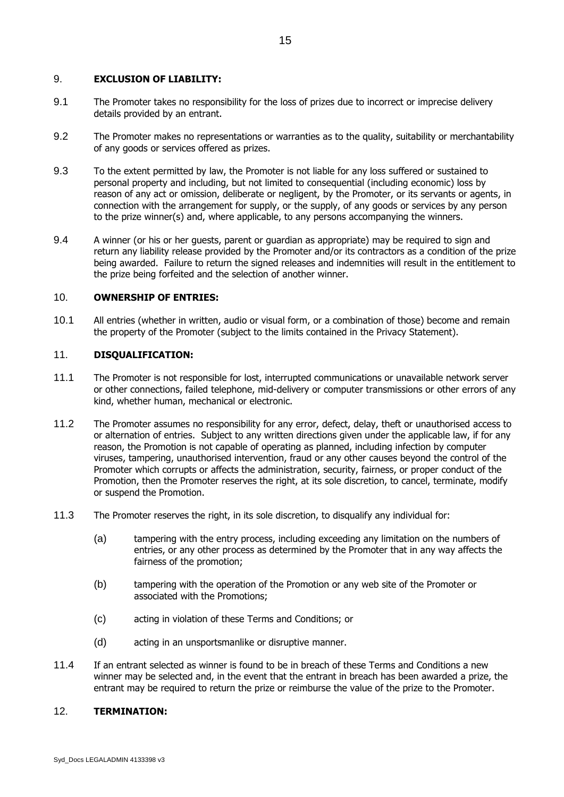#### 9. **EXCLUSION OF LIABILITY:**

- 9.1 The Promoter takes no responsibility for the loss of prizes due to incorrect or imprecise delivery details provided by an entrant.
- 9.2 The Promoter makes no representations or warranties as to the quality, suitability or merchantability of any goods or services offered as prizes.
- 9.3 To the extent permitted by law, the Promoter is not liable for any loss suffered or sustained to personal property and including, but not limited to consequential (including economic) loss by reason of any act or omission, deliberate or negligent, by the Promoter, or its servants or agents, in connection with the arrangement for supply, or the supply, of any goods or services by any person to the prize winner(s) and, where applicable, to any persons accompanying the winners.
- 9.4 A winner (or his or her guests, parent or guardian as appropriate) may be required to sign and return any liability release provided by the Promoter and/or its contractors as a condition of the prize being awarded. Failure to return the signed releases and indemnities will result in the entitlement to the prize being forfeited and the selection of another winner.

#### 10. **OWNERSHIP OF ENTRIES:**

10.1 All entries (whether in written, audio or visual form, or a combination of those) become and remain the property of the Promoter (subject to the limits contained in the Privacy Statement).

## 11. **DISQUALIFICATION:**

- 11.1 The Promoter is not responsible for lost, interrupted communications or unavailable network server or other connections, failed telephone, mid-delivery or computer transmissions or other errors of any kind, whether human, mechanical or electronic.
- 11.2 The Promoter assumes no responsibility for any error, defect, delay, theft or unauthorised access to or alternation of entries. Subject to any written directions given under the applicable law, if for any reason, the Promotion is not capable of operating as planned, including infection by computer viruses, tampering, unauthorised intervention, fraud or any other causes beyond the control of the Promoter which corrupts or affects the administration, security, fairness, or proper conduct of the Promotion, then the Promoter reserves the right, at its sole discretion, to cancel, terminate, modify or suspend the Promotion.
- 11.3 The Promoter reserves the right, in its sole discretion, to disqualify any individual for:
	- (a) tampering with the entry process, including exceeding any limitation on the numbers of entries, or any other process as determined by the Promoter that in any way affects the fairness of the promotion;
	- (b) tampering with the operation of the Promotion or any web site of the Promoter or associated with the Promotions;
	- (c) acting in violation of these Terms and Conditions; or
	- (d) acting in an unsportsmanlike or disruptive manner.
- 11.4 If an entrant selected as winner is found to be in breach of these Terms and Conditions a new winner may be selected and, in the event that the entrant in breach has been awarded a prize, the entrant may be required to return the prize or reimburse the value of the prize to the Promoter.

# 12. **TERMINATION:**